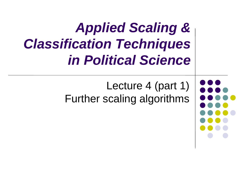### *Applied Scaling & Classification Techniques in Political Science*

Lecture 4 (part 1) Further scaling algorithms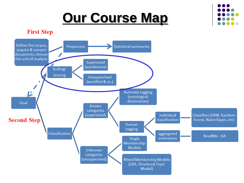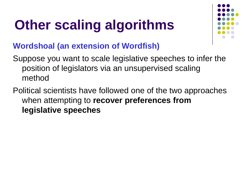

#### **Wordshoal (an extension of Wordfish)**

Suppose you want to scale legislative speeches to infer the position of legislators via an unsupervised scaling method

Political scientists have followed one of the two approaches when attempting to **recover preferences from legislative speeches**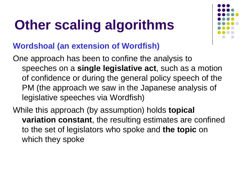

#### **Wordshoal (an extension of Wordfish)**

One approach has been to confine the analysis to speeches on a **single legislative act**, such as a motion of confidence or during the general policy speech of the PM (the approach we saw in the Japanese analysis of legislative speeches via Wordfish)

While this approach (by assumption) holds **topical variation constant**, the resulting estimates are confined to the set of legislators who spoke and **the topic** on which they spoke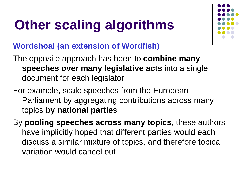

- The opposite approach has been to **combine many speeches over many legislative acts** into a single document for each legislator
- For example, scale speeches from the European Parliament by aggregating contributions across many topics **by national parties**
- By **pooling speeches across many topics**, these authors have implicitly hoped that different parties would each discuss a similar mixture of topics, and therefore topical variation would cancel out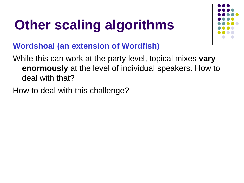

#### **Wordshoal (an extension of Wordfish)**

While this can work at the party level, topical mixes **vary enormously** at the level of individual speakers. How to deal with that?

How to deal with this challenge?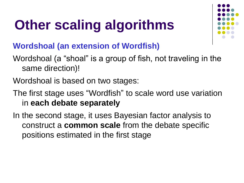

- Wordshoal (a "shoal" is a group of fish, not traveling in the same direction)!
- Wordshoal is based on two stages:
- The first stage uses "Wordfish" to scale word use variation in **each debate separately**
- In the second stage, it uses Bayesian factor analysis to construct a **common scale** from the debate specific positions estimated in the first stage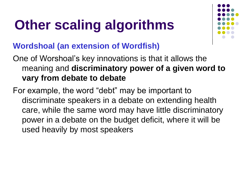

#### **Wordshoal (an extension of Wordfish)**

One of Worshoal's key innovations is that it allows the meaning and **discriminatory power of a given word to vary from debate to debate**

For example, the word "debt" may be important to discriminate speakers in a debate on extending health care, while the same word may have little discriminatory power in a debate on the budget deficit, where it will be used heavily by most speakers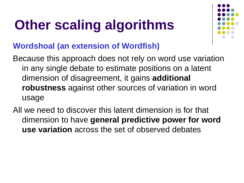

#### **Wordshoal (an extension of Wordfish)**

Because this approach does not rely on word use variation in any single debate to estimate positions on a latent dimension of disagreement, it gains **additional robustness** against other sources of variation in word usage

All we need to discover this latent dimension is for that dimension to have **general predictive power for word use variation** across the set of observed debates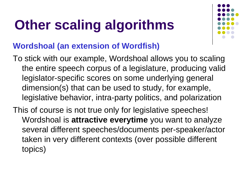

- To stick with our example, Wordshoal allows you to scaling the entire speech corpus of a legislature, producing valid legislator-specific scores on some underlying general dimension(s) that can be used to study, for example, legislative behavior, intra-party politics, and polarization
- This of course is not true only for legislative speeches! Wordshoal is **attractive everytime** you want to analyze several different speeches/documents per-speaker/actor taken in very different contexts (over possible different topics)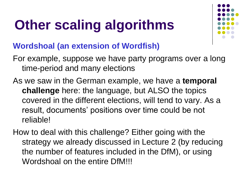

- For example, suppose we have party programs over a long time-period and many elections
- As we saw in the German example, we have a **temporal challenge** here: the language, but ALSO the topics covered in the different elections, will tend to vary. As a result, documents' positions over time could be not reliable!
- How to deal with this challenge? Either going with the strategy we already discussed in Lecture 2 (by reducing the number of features included in the DfM), or using Wordshoal on the entire DfM!!!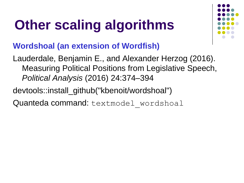

#### **Wordshoal (an extension of Wordfish)**

Lauderdale, Benjamin E., and Alexander Herzog (2016). Measuring Political Positions from Legislative Speech, *Political Analysis* (2016) 24:374–394

devtools::install\_github("kbenoit/wordshoal")

Quanteda command: textmodel wordshoal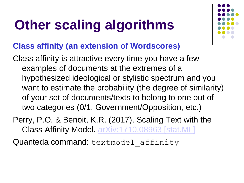

#### **Class affinity (an extension of Wordscores)**

- Class affinity is attractive every time you have a few examples of documents at the extremes of a hypothesized ideological or stylistic spectrum and you want to estimate the probability (the degree of similarity) of your set of documents/texts to belong to one out of two categories (0/1, Government/Opposition, etc.)
- Perry, P.O. & Benoit, K.R. (2017). Scaling Text with the Class Affinity Model. [arXiv:1710.08963 \[stat.ML\]](http://arxiv.org/abs/1710.08963)

Quanteda command: textmodel affinity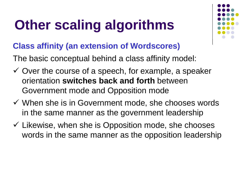

#### **Class affinity (an extension of Wordscores)**

The basic conceptual behind a class affinity model:

- $\checkmark$  Over the course of a speech, for example, a speaker orientation **switches back and forth** between Government mode and Opposition mode
- $\checkmark$  When she is in Government mode, she chooses words in the same manner as the government leadership
- $\checkmark$  Likewise, when she is Opposition mode, she chooses words in the same manner as the opposition leadership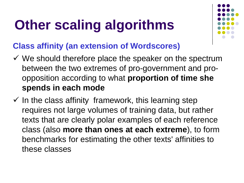

#### **Class affinity (an extension of Wordscores)**

- $\checkmark$  We should therefore place the speaker on the spectrum between the two extremes of pro-government and proopposition according to what **proportion of time she spends in each mode**
- $\checkmark$  In the class affinity framework, this learning step requires not large volumes of training data, but rather texts that are clearly polar examples of each reference class (also **more than ones at each extreme**), to form benchmarks for estimating the other texts' affinities to these classes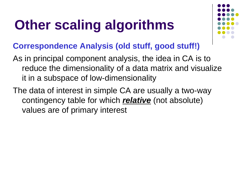

#### **Correspondence Analysis (old stuff, good stuff!)**

- As in principal component analysis, the idea in CA is to reduce the dimensionality of a data matrix and visualize it in a subspace of low-dimensionality
- The data of interest in simple CA are usually a two-way contingency table for which *relative* (not absolute) values are of primary interest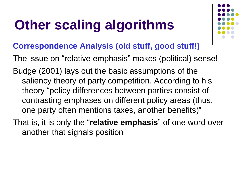

#### **Correspondence Analysis (old stuff, good stuff!)**

The issue on "relative emphasis" makes (political) sense!

Budge (2001) lays out the basic assumptions of the saliency theory of party competition. According to his theory "policy differences between parties consist of contrasting emphases on different policy areas (thus, one party often mentions taxes, another benefits)"

That is, it is only the "**relative emphasis**" of one word over another that signals position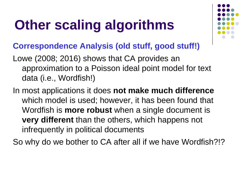

#### **Correspondence Analysis (old stuff, good stuff!)**

- Lowe (2008; 2016) shows that CA provides an approximation to a Poisson ideal point model for text data (i.e., Wordfish!)
- In most applications it does **not make much difference**  which model is used; however, it has been found that Wordfish is **more robust** when a single document is **very different** than the others, which happens not infrequently in political documents

So why do we bother to CA after all if we have Wordfish?!?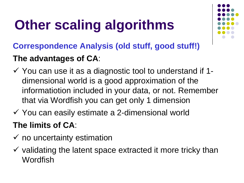

### **Correspondence Analysis (old stuff, good stuff!) The advantages of CA**:

- $\checkmark$  You can use it as a diagnostic tool to understand if 1dimensional world is a good approximation of the informatiotion included in your data, or not. Remember that via Wordfish you can get only 1 dimension
- $\checkmark$  You can easily estimate a 2-dimensional world

### **The limits of CA**:

- $\checkmark$  no uncertainty estimation
- $\checkmark$  validating the latent space extracted it more tricky than Wordfish